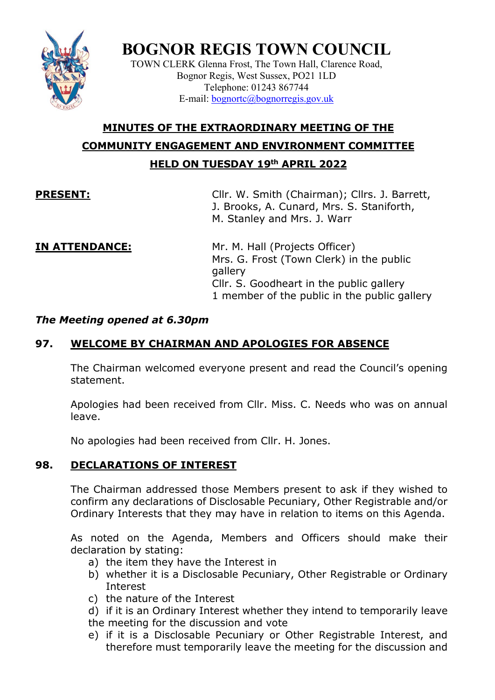

# **BOGNOR REGIS TOWN COUNCIL**

TOWN CLERK Glenna Frost, The Town Hall, Clarence Road, Bognor Regis, West Sussex, PO21 1LD Telephone: 01243 867744 E-mail: [bognortc@bognorregis.gov.uk](mailto:bognortc@bognorregis.gov.uk)

## **MINUTES OF THE EXTRAORDINARY MEETING OF THE COMMUNITY ENGAGEMENT AND ENVIRONMENT COMMITTEE HELD ON TUESDAY 19th APRIL 2022**

**PRESENT:** Cllr. W. Smith (Chairman); Cllrs. J. Barrett, J. Brooks, A. Cunard, Mrs. S. Staniforth, M. Stanley and Mrs. J. Warr

**IN ATTENDANCE:** Mr. M. Hall (Projects Officer) Mrs. G. Frost (Town Clerk) in the public gallery Cllr. S. Goodheart in the public gallery 1 member of the public in the public gallery

#### *The Meeting opened at 6.30pm*

### **97. WELCOME BY CHAIRMAN AND APOLOGIES FOR ABSENCE**

The Chairman welcomed everyone present and read the Council's opening statement.

Apologies had been received from Cllr. Miss. C. Needs who was on annual leave.

No apologies had been received from Cllr. H. Jones.

#### **98. DECLARATIONS OF INTEREST**

The Chairman addressed those Members present to ask if they wished to confirm any declarations of Disclosable Pecuniary, Other Registrable and/or Ordinary Interests that they may have in relation to items on this Agenda.

As noted on the Agenda, Members and Officers should make their declaration by stating:

- a) the item they have the Interest in
- b) whether it is a Disclosable Pecuniary, Other Registrable or Ordinary Interest
- c) the nature of the Interest

d) if it is an Ordinary Interest whether they intend to temporarily leave the meeting for the discussion and vote

e) if it is a Disclosable Pecuniary or Other Registrable Interest, and therefore must temporarily leave the meeting for the discussion and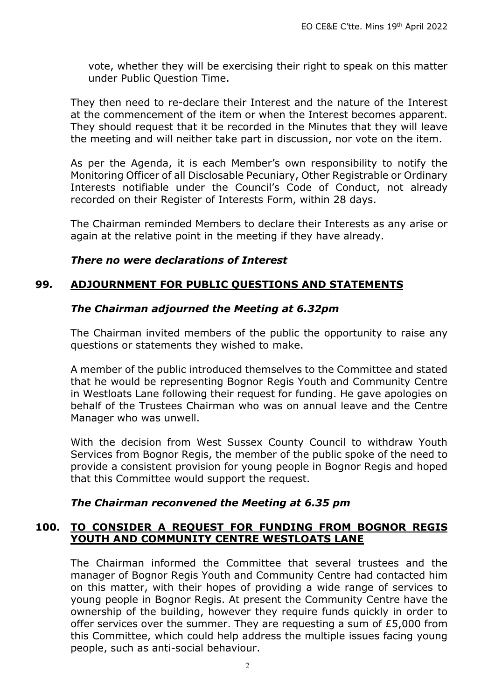vote, whether they will be exercising their right to speak on this matter under Public Question Time.

They then need to re-declare their Interest and the nature of the Interest at the commencement of the item or when the Interest becomes apparent. They should request that it be recorded in the Minutes that they will leave the meeting and will neither take part in discussion, nor vote on the item.

As per the Agenda, it is each Member's own responsibility to notify the Monitoring Officer of all Disclosable Pecuniary, Other Registrable or Ordinary Interests notifiable under the Council's Code of Conduct, not already recorded on their Register of Interests Form, within 28 days.

The Chairman reminded Members to declare their Interests as any arise or again at the relative point in the meeting if they have already.

#### *There no were declarations of Interest*

### **99***.* **ADJOURNMENT FOR PUBLIC QUESTIONS AND STATEMENTS**

#### *The Chairman adjourned the Meeting at 6.32pm*

The Chairman invited members of the public the opportunity to raise any questions or statements they wished to make.

A member of the public introduced themselves to the Committee and stated that he would be representing Bognor Regis Youth and Community Centre in Westloats Lane following their request for funding. He gave apologies on behalf of the Trustees Chairman who was on annual leave and the Centre Manager who was unwell.

With the decision from West Sussex County Council to withdraw Youth Services from Bognor Regis, the member of the public spoke of the need to provide a consistent provision for young people in Bognor Regis and hoped that this Committee would support the request.

#### *The Chairman reconvened the Meeting at 6.35 pm*

#### **100. TO CONSIDER A REQUEST FOR FUNDING FROM BOGNOR REGIS YOUTH AND COMMUNITY CENTRE WESTLOATS LANE**

The Chairman informed the Committee that several trustees and the manager of Bognor Regis Youth and Community Centre had contacted him on this matter, with their hopes of providing a wide range of services to young people in Bognor Regis. At present the Community Centre have the ownership of the building, however they require funds quickly in order to offer services over the summer. They are requesting a sum of £5,000 from this Committee, which could help address the multiple issues facing young people, such as anti-social behaviour.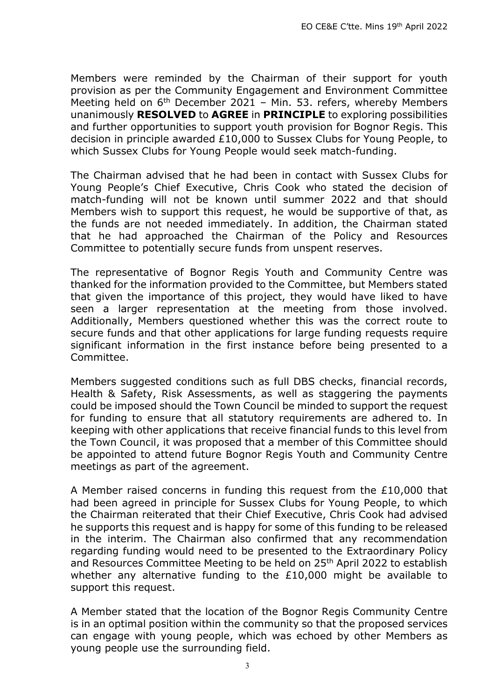Members were reminded by the Chairman of their support for youth provision as per the Community Engagement and Environment Committee Meeting held on  $6<sup>th</sup>$  December 2021 – Min. 53. refers, whereby Members unanimously **RESOLVED** to **AGREE** in **PRINCIPLE** to exploring possibilities and further opportunities to support youth provision for Bognor Regis. This decision in principle awarded £10,000 to Sussex Clubs for Young People, to which Sussex Clubs for Young People would seek match-funding.

The Chairman advised that he had been in contact with Sussex Clubs for Young People's Chief Executive, Chris Cook who stated the decision of match-funding will not be known until summer 2022 and that should Members wish to support this request, he would be supportive of that, as the funds are not needed immediately. In addition, the Chairman stated that he had approached the Chairman of the Policy and Resources Committee to potentially secure funds from unspent reserves.

The representative of Bognor Regis Youth and Community Centre was thanked for the information provided to the Committee, but Members stated that given the importance of this project, they would have liked to have seen a larger representation at the meeting from those involved. Additionally, Members questioned whether this was the correct route to secure funds and that other applications for large funding requests require significant information in the first instance before being presented to a Committee.

Members suggested conditions such as full DBS checks, financial records, Health & Safety, Risk Assessments, as well as staggering the payments could be imposed should the Town Council be minded to support the request for funding to ensure that all statutory requirements are adhered to. In keeping with other applications that receive financial funds to this level from the Town Council, it was proposed that a member of this Committee should be appointed to attend future Bognor Regis Youth and Community Centre meetings as part of the agreement.

A Member raised concerns in funding this request from the £10,000 that had been agreed in principle for Sussex Clubs for Young People, to which the Chairman reiterated that their Chief Executive, Chris Cook had advised he supports this request and is happy for some of this funding to be released in the interim. The Chairman also confirmed that any recommendation regarding funding would need to be presented to the Extraordinary Policy and Resources Committee Meeting to be held on 25<sup>th</sup> April 2022 to establish whether any alternative funding to the £10,000 might be available to support this request.

A Member stated that the location of the Bognor Regis Community Centre is in an optimal position within the community so that the proposed services can engage with young people, which was echoed by other Members as young people use the surrounding field.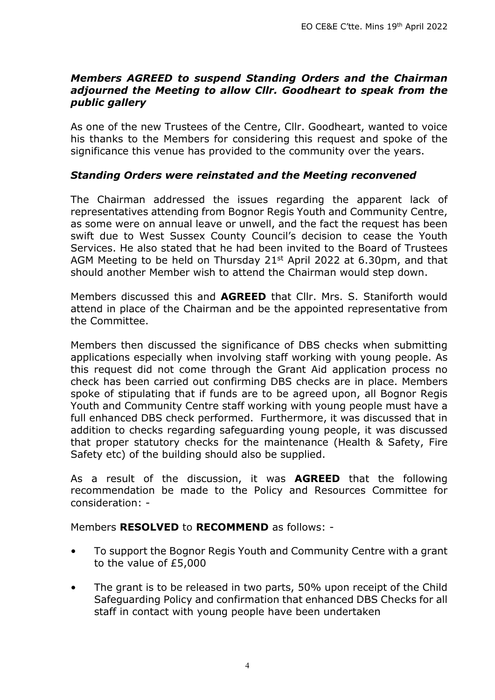#### *Members AGREED to suspend Standing Orders and the Chairman adjourned the Meeting to allow Cllr. Goodheart to speak from the public gallery*

As one of the new Trustees of the Centre, Cllr. Goodheart, wanted to voice his thanks to the Members for considering this request and spoke of the significance this venue has provided to the community over the years.

#### *Standing Orders were reinstated and the Meeting reconvened*

The Chairman addressed the issues regarding the apparent lack of representatives attending from Bognor Regis Youth and Community Centre, as some were on annual leave or unwell, and the fact the request has been swift due to West Sussex County Council's decision to cease the Youth Services. He also stated that he had been invited to the Board of Trustees AGM Meeting to be held on Thursday 21<sup>st</sup> April 2022 at 6.30pm, and that should another Member wish to attend the Chairman would step down.

Members discussed this and **AGREED** that Cllr. Mrs. S. Staniforth would attend in place of the Chairman and be the appointed representative from the Committee.

Members then discussed the significance of DBS checks when submitting applications especially when involving staff working with young people. As this request did not come through the Grant Aid application process no check has been carried out confirming DBS checks are in place. Members spoke of stipulating that if funds are to be agreed upon, all Bognor Regis Youth and Community Centre staff working with young people must have a full enhanced DBS check performed. Furthermore, it was discussed that in addition to checks regarding safeguarding young people, it was discussed that proper statutory checks for the maintenance (Health & Safety, Fire Safety etc) of the building should also be supplied.

As a result of the discussion, it was **AGREED** that the following recommendation be made to the Policy and Resources Committee for consideration: -

Members **RESOLVED** to **RECOMMEND** as follows: -

- To support the Bognor Regis Youth and Community Centre with a grant to the value of £5,000
- The grant is to be released in two parts, 50% upon receipt of the Child Safeguarding Policy and confirmation that enhanced DBS Checks for all staff in contact with young people have been undertaken